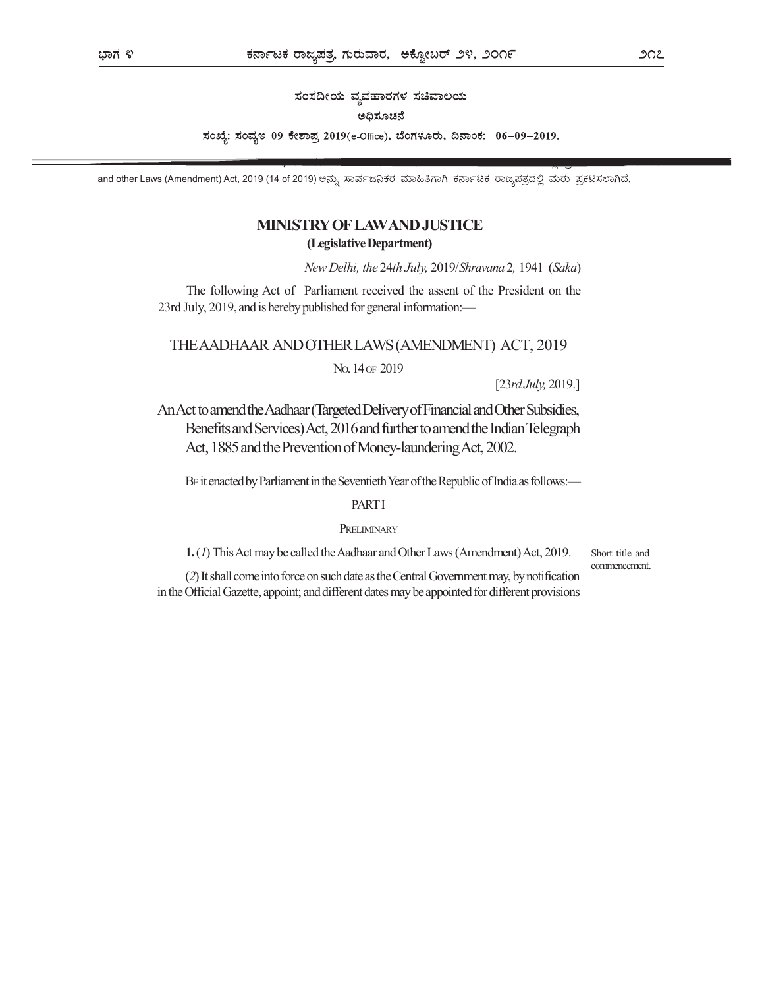ಸಂಸದೀಯ ವ್ಯವಹಾರಗಳ ಸಚಿವಾಲಯ

# ಅದಿಸೂಚನೆ

ಸಂಖ್ಯೆ: ಸಂವ್ಯಇ 09 ಕೇಶಾಪ್ರ 2019(e-Office), ಬೆಂಗಳೂರು, ದಿನಾಂಕ: 06-09-2019.

and other Laws (Amendment) Act, 2019 (14 of 2019)

# MINISTRY OF LAW AND JUSTICE

# (Legislative Department)

New Delhi, the 24th July, 2019/Shravana 2, 1941 (Saka)

The following Act of Parliament received the assent of the President on the 23rd July, 2019, and is hereby published for general information:—

THE AADHAAR AND OTHER LAWS (AMENDMENT) ACT, 2019

NO. 14 OF 2019

[23rd July, 2019.]

An Act to amend the Aadhaar (Targeted Delivery of Financial and Other Subsidies, Benefits and Services) Act, 2016 and further to amend the Indian Telegraph Act, 1885 and the Prevention of Money-laundering Act, 2002.

BE it enacted by Parliament in the Seventieth Year of the Republic of India as follows:—

## **PART I**

# PRELIMINARY

1.(1) This Act may be called the Aadhaar and Other Laws (Amendment) Act, 2019.

Short title and commencement.

(2) It shall come into force on such date as the Central Government may, by notification in the Official Gazette, appoint; and different dates may be appointed for different provisions

Part II Section 1 The Aadhaar II Section 1 The Aadhaar II Section 1 The Aadhaar II Section 1 The Aadhaar II Se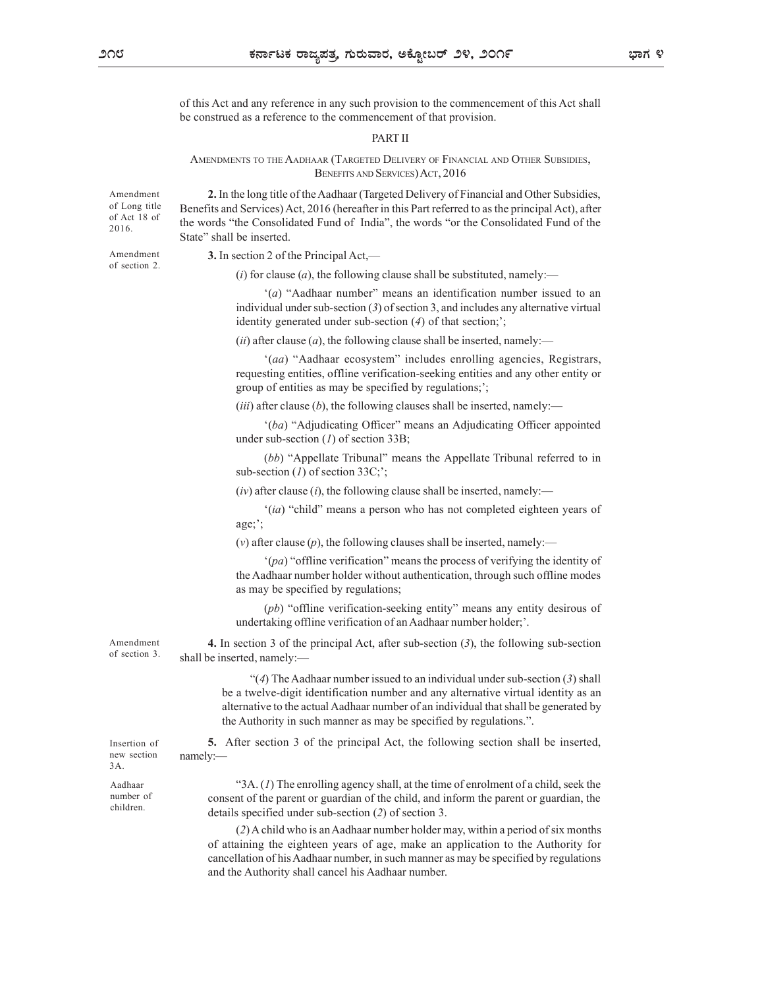2016.

of section 2.

of this Act and any reference in any such provision to the commencement of this Act shall be construed as a reference to the commencement of that provision.

### PART II

 $\frac{1}{2}$ <br>
AMENDMENTS TO THE AADHAAR (TARGETED DELIVERY OF FINANCIAL AND OTHER SUBSIDIES,<br>  $\frac{1}{2}$ <br>
AMENDMENTS TO THE AADHAAR (TARGETED DELIVERY OF FINANCIAL AND OTHER SUBSIDIES,<br>  $\frac{1}{2}$ <br>
AMENDMENTS TO THE AADHAAR (T 2. In the long title of the Aadhaar (Targeted Delivery of Financial and Other Subsidies, Amendment of Long title Benefits and Services) Act, 2016 (hereafter in this Part referred to as the principal Act), after of Act 18 of the words "the Consolidated Fund of India", the words "or the Consolidated Fund of the State" shall be inserted.

Amendment 3. In section 2 of the Principal Act,—

(i) for clause (a), the following clause shall be substituted, namely:—

'(a) "Aadhaar number" means an identification number issued to an individual under sub-section (3) of section 3, and includes any alternative virtual identity generated under sub-section (4) of that section;';

(*ii*) after clause (*a*), the following clause shall be inserted, namely:—

'(aa) "Aadhaar ecosystem" includes enrolling agencies, Registrars, requesting entities, offline verification-seeking entities and any other entity or group of entities as may be specified by regulations;';

(*iii*) after clause (*b*), the following clauses shall be inserted, namely:—

'(ba) "Adjudicating Officer" means an Adjudicating Officer appointed under sub-section  $(I)$  of section 33B;

(bb) "Appellate Tribunal" means the Appellate Tribunal referred to in sub-section  $(I)$  of section 33C;';

 $(iv)$  after clause (i), the following clause shall be inserted, namely:—

'(ia) "child" means a person who has not completed eighteen years of age;';

(v) after clause  $(p)$ , the following clauses shall be inserted, namely:—

'(pa) "offline verification" means the process of verifying the identity of the Aadhaar number holder without authentication, through such offline modes as may be specified by regulations;

(pb) "offline verification-seeking entity" means any entity desirous of undertaking offline verification of an Aadhaar number holder;'.

Amendment 4. In section 3 of the principal Act, after sub-section (3), the following sub-section shall be inserted, namely:— of section 3.

> "(4) The Aadhaar number issued to an individual under sub-section  $(3)$  shall be a twelve-digit identification number and any alternative virtual identity as an alternative to the actual Aadhaar number of an individual that shall be generated by the Authority in such manner as may be specified by regulations.".

5. After section 3 of the principal Act, the following section shall be inserted, Insertion of namely:— namely:—

"3A. (1) The enrolling agency shall, at the time of enrolment of a child, seek the Aadhaar number of consent of the parent or guardian of the child, and inform the parent or guardian, the details specified under sub-section (2) of section 3.

> (2) A child who is an Aadhaar number holder may, within a period of six months of attaining the eighteen years of age, make an application to the Authority for cancellation of his Aadhaar number, in such manner as may be specified by regulations and the Authority shall cancel his Aadhaar number.

 $3A.$ 

children.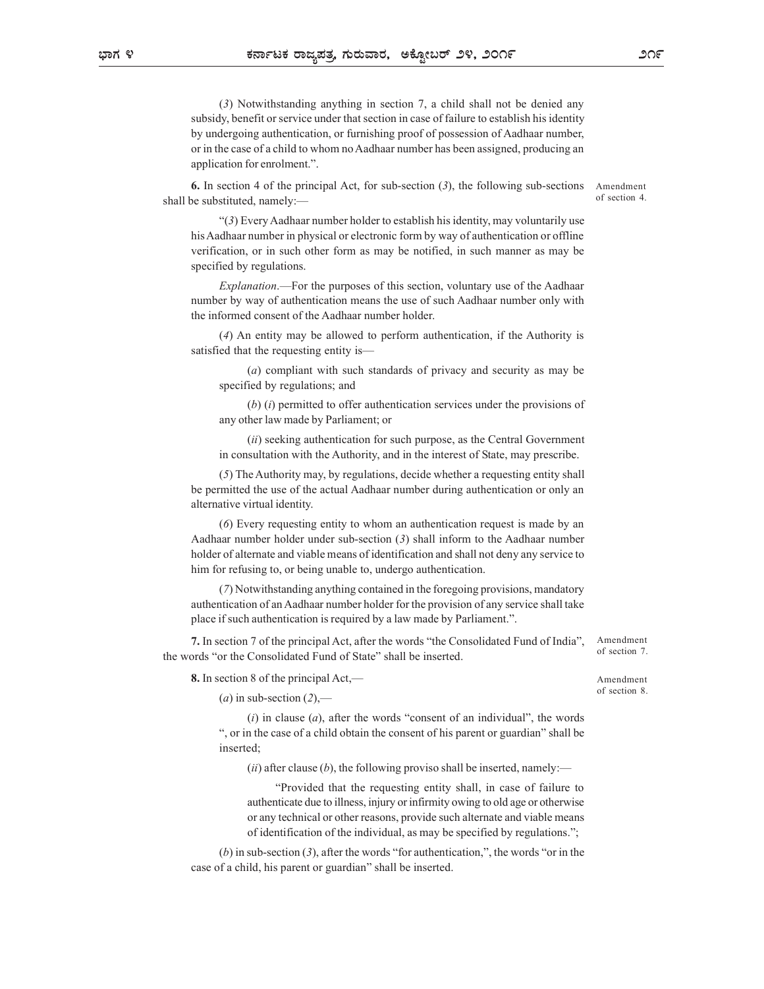(3) Notwithstanding anything in section 7, a child shall not be denied any subsidy, benefit or service under that section in case of failure to establish his identity by undergoing authentication, or furnishing proof of possession of Aadhaar number, or in the case of a child to whom no Aadhaar number has been assigned, producing an application for enrolment.".

6. In section 4 of the principal Act, for sub-section (3), the following sub-sections shall be substituted, namely:—

Amendment of section 4.

"(3) Every Aadhaar number holder to establish his identity, may voluntarily use his Aadhaar number in physical or electronic form by way of authentication or offline verification, or in such other form as may be notified, in such manner as may be specified by regulations.

Explanation.—For the purposes of this section, voluntary use of the Aadhaar number by way of authentication means the use of such Aadhaar number only with the informed consent of the Aadhaar number holder.

(4) An entity may be allowed to perform authentication, if the Authority is satisfied that the requesting entity is—

(a) compliant with such standards of privacy and security as may be specified by regulations; and

 $(b)$  (i) permitted to offer authentication services under the provisions of any other law made by Parliament; or

(ii) seeking authentication for such purpose, as the Central Government in consultation with the Authority, and in the interest of State, may prescribe.

(5) The Authority may, by regulations, decide whether a requesting entity shall be permitted the use of the actual Aadhaar number during authentication or only an alternative virtual identity.

(6) Every requesting entity to whom an authentication request is made by an Aadhaar number holder under sub-section (3) shall inform to the Aadhaar number holder of alternate and viable means of identification and shall not deny any service to him for refusing to, or being unable to, undergo authentication.

(7) Notwithstanding anything contained in the foregoing provisions, mandatory authentication of an Aadhaar number holder for the provision of any service shall take place if such authentication is required by a law made by Parliament.".

7. In section 7 of the principal Act, after the words "the Consolidated Fund of India", the words "or the Consolidated Fund of State" shall be inserted.

8. In section 8 of the principal Act,—

Amendment of section 7.

Amendment of section 8.

(a) in sub-section  $(2)$ ,-

 $(i)$  in clause  $(a)$ , after the words "consent of an individual", the words ", or in the case of a child obtain the consent of his parent or guardian" shall be inserted;

(ii) after clause (b), the following proviso shall be inserted, namely:—

"Provided that the requesting entity shall, in case of failure to authenticate due to illness, injury or infirmity owing to old age or otherwise or any technical or other reasons, provide such alternate and viable means of identification of the individual, as may be specified by regulations.";

 $(b)$  in sub-section  $(3)$ , after the words "for authentication,", the words "or in the case of a child, his parent or guardian" shall be inserted.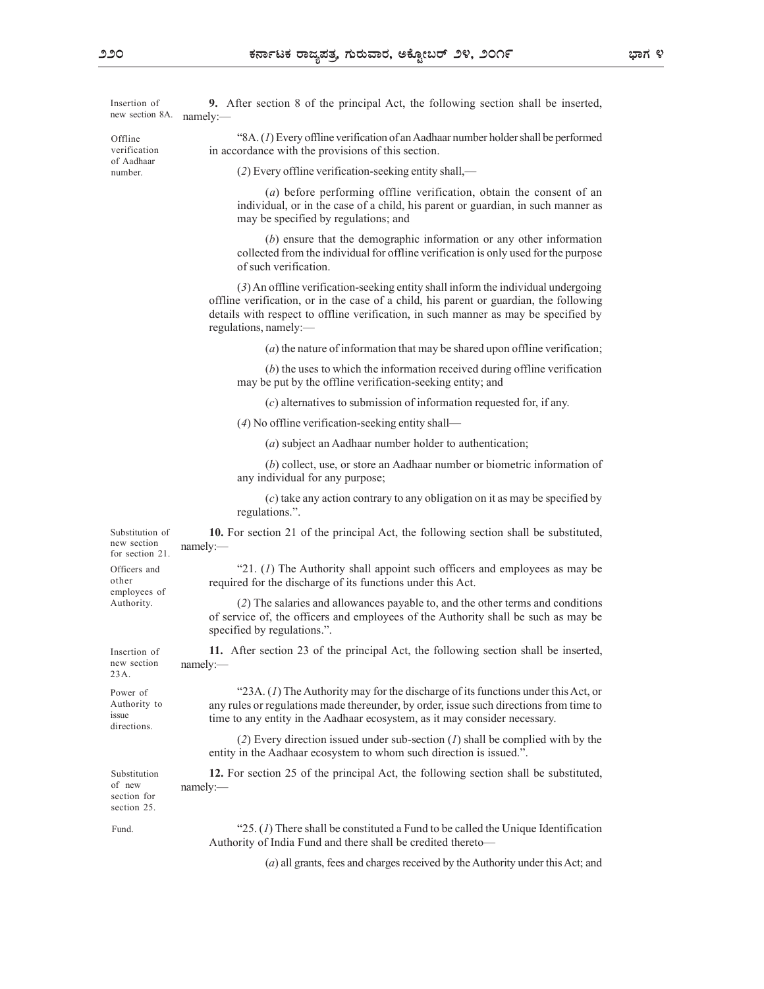new section 8A. namely:

of Aadhaar number.

9. After section 8 of the principal Act, the following section shall be inserted, Insertion of namely:—

"8A. (1) Every offline verification of an Aadhaar number holder shall be performed Offline in accordance with the provisions of this section. verification

(2) Every offline verification-seeking entity shall,—

(a) before performing offline verification, obtain the consent of an individual, or in the case of a child, his parent or guardian, in such manner as may be specified by regulations; and

(b) ensure that the demographic information or any other information collected from the individual for offline verification is only used for the purpose of such verification.

(3) An offline verification-seeking entity shall inform the individual undergoing offline verification, or in the case of a child, his parent or guardian, the following details with respect to offline verification, in such manner as may be specified by regulations, namely:—

(a) the nature of information that may be shared upon offline verification;

(b) the uses to which the information received during offline verification may be put by the offline verification-seeking entity; and

(c) alternatives to submission of information requested for, if any.

(4) No offline verification-seeking entity shall—

(a) subject an Aadhaar number holder to authentication;

(b) collect, use, or store an Aadhaar number or biometric information of any individual for any purpose;

(c) take any action contrary to any obligation on it as may be specified by regulations.".

Substitution of **10.** For section 21 of the principal Act, the following section shall be substituted, namely:— example of the state of the state of the state of the state of the state of the state of the state of the state of the state of the state of the state of the state of the state of the state of the state of the sta new section namely:for section 21.

Officers and **Example 3.1.** (1) The Authority shall appoint such officers and employees as may be required for the discharge of its functions under this Act. other

> (2) The salaries and allowances payable to, and the other terms and conditions of service of, the officers and employees of the Authority shall be such as may be specified by regulations.".

11. After section 23 of the principal Act, the following section shall be inserted, Insertion of namely:— example of the state of the state of the state of the state of the state of the state of the state of the state of the state of the state of the state of the state of the state of the state of the state of the sta new section namely:-

"23A. (1) The Authority may for the discharge of its functions under this Act, or Power of any rules or regulations made thereunder, by order, issue such directions from time to Authority to time to any entity in the Aadhaar ecosystem, as it may consider necessary. issue

> (2) Every direction issued under sub-section  $(I)$  shall be complied with by the entity in the Aadhaar ecosystem to whom such direction is issued.".

Substitution **12.** For section 25 of the principal Act, the following section shall be substituted, namely:— example of the state of the state of the state of the state of the state of the state of the state of the state of the state of the state of the state of the state of the state of the state of the state of the sta of new

section for section 25. Fund.

directions.

employees of Authority.

23A.

" $25. (I)$  There shall be constituted a Fund to be called the Unique Identification Authority of India Fund and there shall be credited thereto—

(a) all grants, fees and charges received by the Authority under this Act; and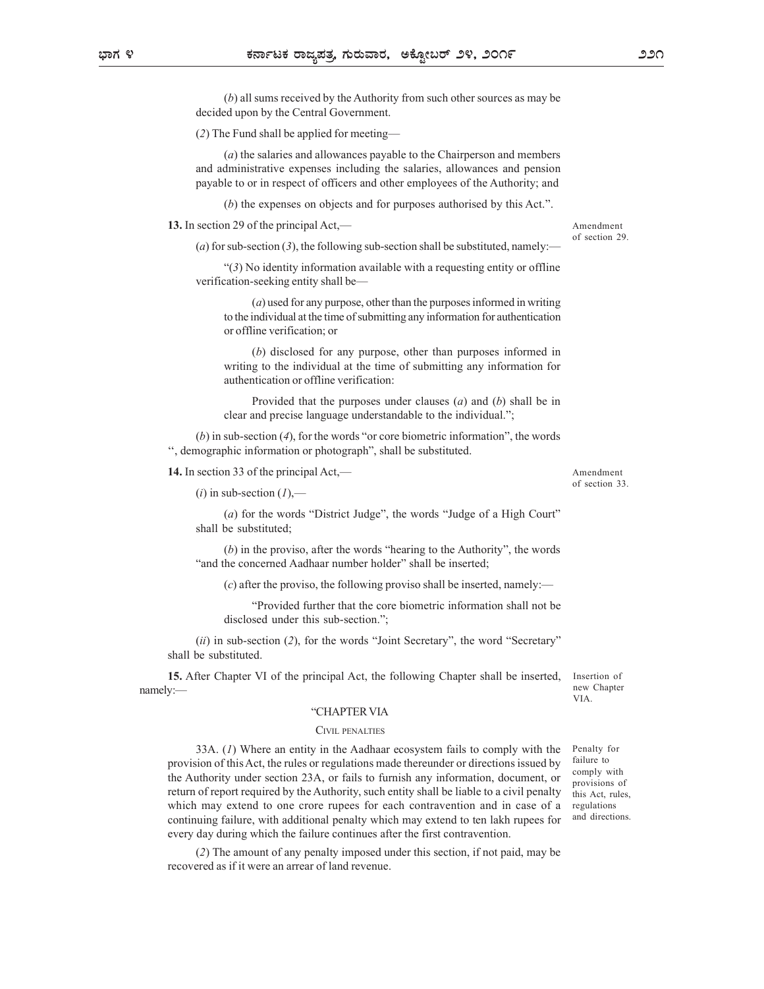(b) all sums received by the Authority from such other sources as may be decided upon by the Central Government.

(2) The Fund shall be applied for meeting—

(a) the salaries and allowances payable to the Chairperson and members and administrative expenses including the salaries, allowances and pension payable to or in respect of officers and other employees of the Authority; and

(b) the expenses on objects and for purposes authorised by this Act.".

13. In section 29 of the principal Act,—

(a) for sub-section  $(3)$ , the following sub-section shall be substituted, namely:-

"(3) No identity information available with a requesting entity or offline verification-seeking entity shall be—

(a) used for any purpose, other than the purposes informed in writing to the individual at the time of submitting any information for authentication or offline verification; or

(b) disclosed for any purpose, other than purposes informed in writing to the individual at the time of submitting any information for authentication or offline verification:

Provided that the purposes under clauses  $(a)$  and  $(b)$  shall be in clear and precise language understandable to the individual.";

 $(b)$  in sub-section  $(4)$ , for the words "or core biometric information", the words '', demographic information or photograph", shall be substituted.

### 14. In section 33 of the principal Act,—

 $(i)$  in sub-section  $(1)$ ,—

(a) for the words "District Judge", the words "Judge of a High Court" shall be substituted;

(b) in the proviso, after the words "hearing to the Authority", the words "and the concerned Aadhaar number holder" shall be inserted;

 $(c)$  after the proviso, the following proviso shall be inserted, namely:—

"Provided further that the core biometric information shall not be disclosed under this sub-section.";

(ii) in sub-section (2), for the words "Joint Secretary", the word "Secretary" shall be substituted.

15. After Chapter VI of the principal Act, the following Chapter shall be inserted, namely:— the contract of the contract of the contract of the contract of the contract of the contract of the contract of the contract of the contract of the contract of the contract of the contract of the contract of the c

#### "CHAPTER VIA

CIVIL PENALTIES 33A. (1) Where an entity in the Aadhaar ecosystem fails to comply with the provision of this Act, the rules or regulations made thereunder or directions issued by the Authority under section 23A, or fails to furnish any information, document, or return of report required by the Authority, such entity shall be liable to a civil penalty which may extend to one crore rupees for each contravention and in case of a continuing failure, with additional penalty which may extend to ten lakh rupees for every day during which the failure continues after the first contravention.

(2) The amount of any penalty imposed under this section, if not paid, may be recovered as if it were an arrear of land revenue.

Penalty for failure to comply with provisions of this Act, rules, regulations and directions.

Insertion of new Chapter VIA.

Amendment of section 33.

Amendment of section 29.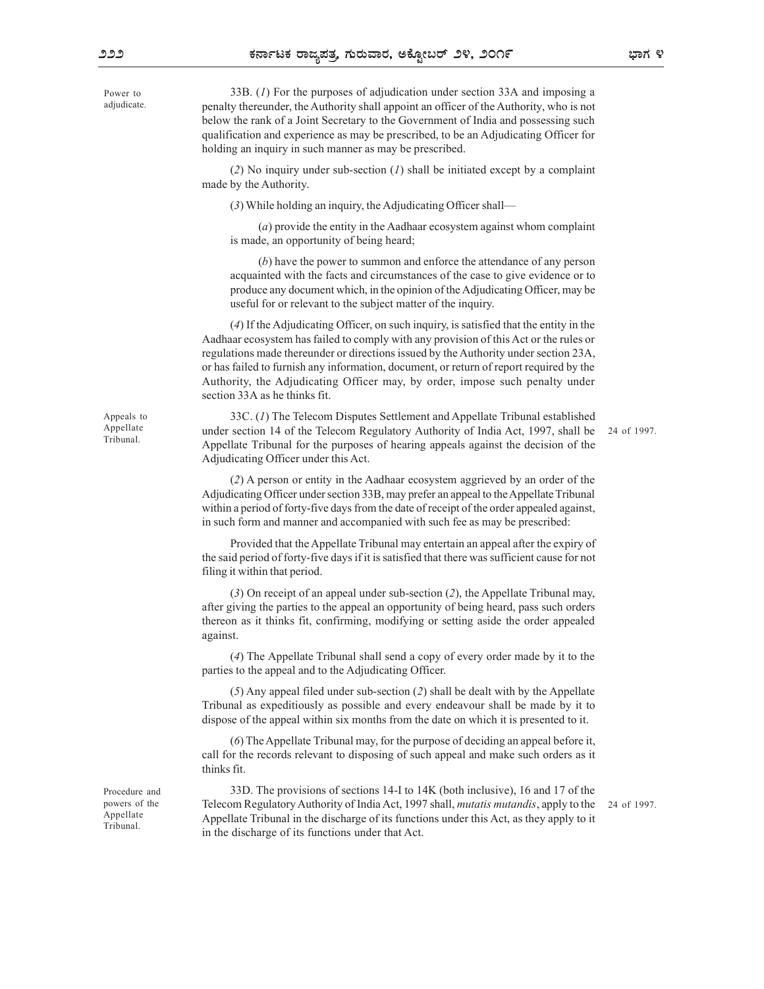adjudicate.

33B. (1) For the purposes of adjudication under section 33A and imposing a Power to penalty thereunder, the Authority shall appoint an officer of the Authority, who is not below the rank of a Joint Secretary to the Government of India and possessing such qualification and experience as may be prescribed, to be an Adjudicating Officer for holding an inquiry in such manner as may be prescribed.

> (2) No inquiry under sub-section  $(I)$  shall be initiated except by a complaint made by the Authority.

(3) While holding an inquiry, the Adjudicating Officer shall—

(a) provide the entity in the Aadhaar ecosystem against whom complaint is made, an opportunity of being heard;

(b) have the power to summon and enforce the attendance of any person acquainted with the facts and circumstances of the case to give evidence or to produce any document which, in the opinion of the Adjudicating Officer, may be useful for or relevant to the subject matter of the inquiry.

(4) If the Adjudicating Officer, on such inquiry, is satisfied that the entity in the Aadhaar ecosystem has failed to comply with any provision of this Act or the rules or regulations made thereunder or directions issued by the Authority under section 23A, or has failed to furnish any information, document, or return of report required by the Authority, the Adjudicating Officer may, by order, impose such penalty under section 33A as he thinks fit.

Appeals to 33C. (1) The Telecom Disputes Settlement and Appellate Tribunal established Appellate a under section 14 of the Telecom Regulatory Authority of India Act, 1997, shall be 24 of 1997. Appellate Tribunal for the purposes of hearing appeals against the decision of the Adjudicating Officer under this Act. 24 of 1997.

(2) A person or entity in the Aadhaar ecosystem aggrieved by an order of the

Adjudicating Officer under section 33B, may prefer an appeal to the Appellate Tribunal within a period of forty-five days from the date of receipt of the order appealed against, in such form and manner and accompanied with such fee as may be prescribed:

Provided that the Appellate Tribunal may entertain an appeal after the expiry of the said period of forty-five days if it is satisfied that there was sufficient cause for not filing it within that period.

(3) On receipt of an appeal under sub-section (2), the Appellate Tribunal may, after giving the parties to the appeal an opportunity of being heard, pass such orders thereon as it thinks fit, confirming, modifying or setting aside the order appealed against.

(4) The Appellate Tribunal shall send a copy of every order made by it to the parties to the appeal and to the Adjudicating Officer.

(5) Any appeal filed under sub-section (2) shall be dealt with by the Appellate Tribunal as expeditiously as possible and every endeavour shall be made by it to dispose of the appeal within six months from the date on which it is presented to it.

(6) The Appellate Tribunal may, for the purpose of deciding an appeal before it, call for the records relevant to disposing of such appeal and make such orders as it thinks fit.

33D. The provisions of sections 14-I to 14K (both inclusive), 16 and 17 of the Procedure and powers of the Telecom Regulatory Authority of India Act, 1997 shall, *mutatis mutandis*, apply to the 24 of 1997. Appellate Appellate Tribunal in the discharge of its functions under this Act, as they apply to it in the discharge of its functions under that Act. 24 of 1997.

Tribunal.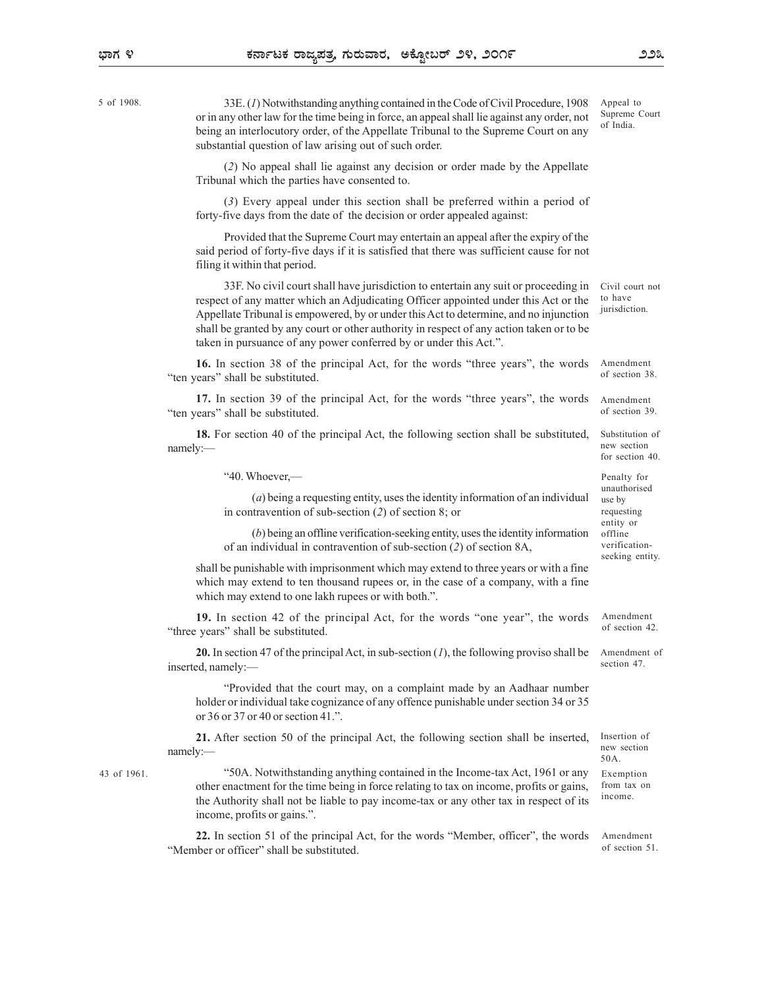5 of 1908.

33E. (1) Notwithstanding anything contained in the Code of Civil Procedure, 1908 or in any other law for the time being in force, an appeal shall lie against any order, not being an interlocutory order, of the Appellate Tribunal to the Supreme Court on any substantial question of law arising out of such order.

(2) No appeal shall lie against any decision or order made by the Appellate Tribunal which the parties have consented to.

(3) Every appeal under this section shall be preferred within a period of forty-five days from the date of the decision or order appealed against:

Provided that the Supreme Court may entertain an appeal after the expiry of the said period of forty-five days if it is satisfied that there was sufficient cause for not filing it within that period.

33F. No civil court shall have jurisdiction to entertain any suit or proceeding in respect of any matter which an Adjudicating Officer appointed under this Act or the Appellate Tribunal is empowered, by or under this Act to determine, and no injunction shall be granted by any court or other authority in respect of any action taken or to be taken in pursuance of any power conferred by or under this Act.".

16. In section 38 of the principal Act, for the words "three years", the words "ten years" shall be substituted.

17. In section 39 of the principal Act, for the words "three years", the words "ten years" shall be substituted.

18. For section 40 of the principal Act, the following section shall be substituted, namely:—

"40. Whoever,—

(*a*) being a requesting entity, uses the identity information of an individual use by in contravention of sub-section (2) of section 8; or

(b) being an offline verification-seeking entity, uses the identity information of an individual in contravention of sub-section (2) of section 8A,

shall be punishable with imprisonment which may extend to three years or with a fine which may extend to ten thousand rupees or, in the case of a company, with a fine which may extend to one lakh rupees or with both.".

19. In section 42 of the principal Act, for the words "one year", the words "three years" shall be substituted.

**20.** In section 47 of the principal Act, in sub-section  $(I)$ , the following proviso shall be inserted, namely:—

"Provided that the court may, on a complaint made by an Aadhaar number holder or individual take cognizance of any offence punishable under section 34 or 35 or 36 or 37 or 40 or section 41.".

21. After section 50 of the principal Act, the following section shall be inserted, namely:— new the contract of the contract of the contract of the contract of the contract of the contract of the contract of the contract of the contract of the contract of the contract of the contract of the contract of t

"50A. Notwithstanding anything contained in the Income-tax Act, 1961 or any other enactment for the time being in force relating to tax on income, profits or gains, the Authority shall not be liable to pay income-tax or any other tax in respect of its income, profits or gains.". The section 40<br>  $^{4}$  of 0, Whovev,  $-$ <br>
(a) being a requesting entity, uses the identity information of an individual manufor<br>
in contravention of sub-section (2) of section 8, or<br>  $^{4}$  of 1961 of 1961 of 1961 of 1961 o

22. In section 51 of the principal Act, for the words "Member, officer", the words "Member or officer" shall be substituted.

Appeal to Supreme Court of India.

Civil court not to have jurisdiction.

Amendment of section 38.

Amendment of section 39.

Substitution of new section for section 40.

Penalty for unauthorised use by requesting entity or offline verificationseeking entity.

Amendment of section 42.

Amendment of section 47

Insertion of new section 50A. from tax on

income.

Amendment of section 51.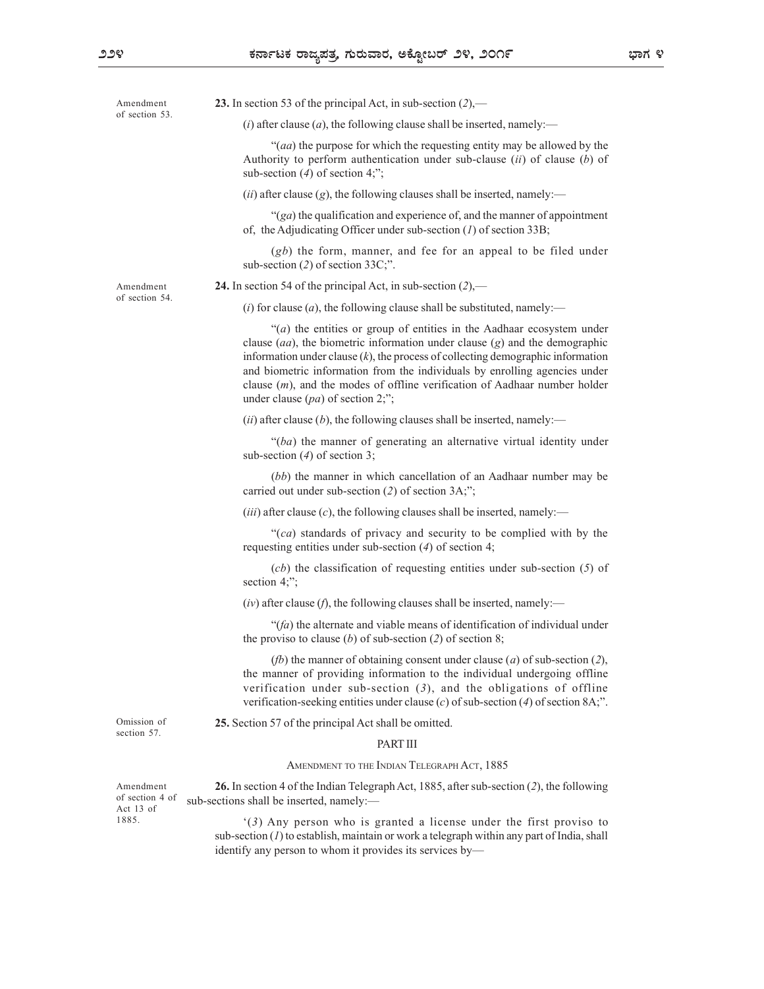|  | Amendment                                          | 23. In section 53 of the principal Act, in sub-section $(2)$ ,—                                                                                                                                                                                                                                                                                                                                                                                          |  |
|--|----------------------------------------------------|----------------------------------------------------------------------------------------------------------------------------------------------------------------------------------------------------------------------------------------------------------------------------------------------------------------------------------------------------------------------------------------------------------------------------------------------------------|--|
|  | of section 53.                                     | ( <i>i</i> ) after clause ( <i>a</i> ), the following clause shall be inserted, namely:—                                                                                                                                                                                                                                                                                                                                                                 |  |
|  |                                                    | "( <i>aa</i> ) the purpose for which the requesting entity may be allowed by the<br>Authority to perform authoritization under sub-clause $(ii)$ of clause $(b)$ of<br>sub-section $(4)$ of section 4;";                                                                                                                                                                                                                                                 |  |
|  |                                                    | $(ii)$ after clause $(g)$ , the following clauses shall be inserted, namely:—                                                                                                                                                                                                                                                                                                                                                                            |  |
|  |                                                    | " $(ga)$ the qualification and experience of, and the manner of appointment<br>of, the Adjudicating Officer under sub-section $(I)$ of section 33B;                                                                                                                                                                                                                                                                                                      |  |
|  |                                                    | $(gb)$ the form, manner, and fee for an appeal to be filed under<br>sub-section $(2)$ of section 33C;".                                                                                                                                                                                                                                                                                                                                                  |  |
|  | Amendment<br>of section 54.                        | 24. In section 54 of the principal Act, in sub-section $(2)$ ,—                                                                                                                                                                                                                                                                                                                                                                                          |  |
|  |                                                    | ( <i>i</i> ) for clause ( <i>a</i> ), the following clause shall be substituted, namely:—                                                                                                                                                                                                                                                                                                                                                                |  |
|  |                                                    | " $(a)$ the entities or group of entities in the Aadhaar ecosystem under<br>clause $(aa)$ , the biometric information under clause $(g)$ and the demographic<br>information under clause $(k)$ , the process of collecting demographic information<br>and biometric information from the individuals by enrolling agencies under<br>clause $(m)$ , and the modes of offline verification of Aadhaar number holder<br>under clause $(pa)$ of section 2;"; |  |
|  |                                                    | (ii) after clause (b), the following clauses shall be inserted, namely:—                                                                                                                                                                                                                                                                                                                                                                                 |  |
|  |                                                    | " $(ba)$ the manner of generating an alternative virtual identity under<br>sub-section $(4)$ of section 3;                                                                                                                                                                                                                                                                                                                                               |  |
|  |                                                    | (bb) the manner in which cancellation of an Aadhaar number may be<br>carried out under sub-section $(2)$ of section 3A;";                                                                                                                                                                                                                                                                                                                                |  |
|  |                                                    | ( <i>iii</i> ) after clause ( <i>c</i> ), the following clauses shall be inserted, namely:—                                                                                                                                                                                                                                                                                                                                                              |  |
|  |                                                    | " $(ca)$ standards of privacy and security to be complied with by the<br>requesting entities under sub-section $(4)$ of section 4;                                                                                                                                                                                                                                                                                                                       |  |
|  |                                                    | $(cb)$ the classification of requesting entities under sub-section $(5)$ of<br>section $4$ ;";                                                                                                                                                                                                                                                                                                                                                           |  |
|  |                                                    | $(iv)$ after clause (f), the following clauses shall be inserted, namely:—                                                                                                                                                                                                                                                                                                                                                                               |  |
|  |                                                    | " $(fa)$ the alternate and viable means of identification of individual under<br>the proviso to clause (b) of sub-section (2) of section 8;                                                                                                                                                                                                                                                                                                              |  |
|  |                                                    | ( <i>fb</i> ) the manner of obtaining consent under clause ( <i>a</i> ) of sub-section (2),<br>the manner of providing information to the individual undergoing offline<br>verification under sub-section $(3)$ , and the obligations of offline<br>verification-seeking entities under clause (c) of sub-section (4) of section 8A;".                                                                                                                   |  |
|  | Omission of<br>section 57.                         | 25. Section 57 of the principal Act shall be omitted.                                                                                                                                                                                                                                                                                                                                                                                                    |  |
|  |                                                    | PART III                                                                                                                                                                                                                                                                                                                                                                                                                                                 |  |
|  |                                                    | AMENDMENT TO THE INDIAN TELEGRAPH ACT, 1885                                                                                                                                                                                                                                                                                                                                                                                                              |  |
|  | Amendment<br>of section 4 of<br>Act 13 of<br>1885. | 26. In section 4 of the Indian Telegraph Act, 1885, after sub-section (2), the following<br>sub-sections shall be inserted, namely:-                                                                                                                                                                                                                                                                                                                     |  |
|  |                                                    | $(3)$ Any person who is granted a license under the first proviso to<br>sub-section $(I)$ to establish, maintain or work a telegraph within any part of India, shall<br>identify any person to whom it provides its services by-                                                                                                                                                                                                                         |  |
|  |                                                    |                                                                                                                                                                                                                                                                                                                                                                                                                                                          |  |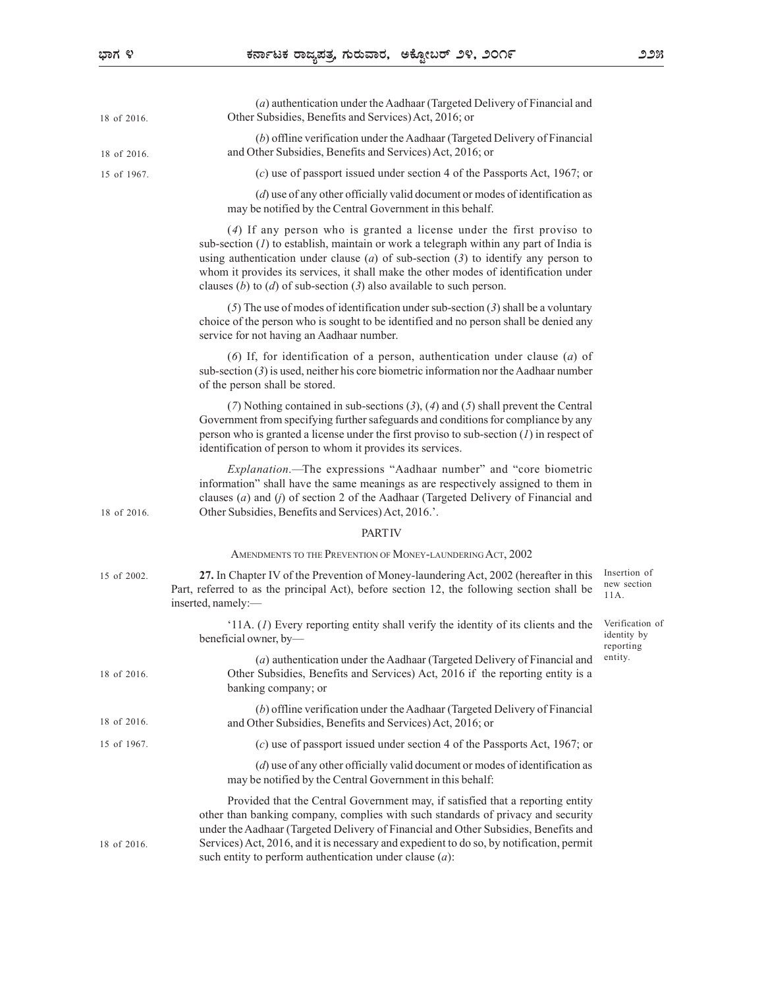| 18 of 2016. | (a) authentication under the Aadhaar (Targeted Delivery of Financial and<br>Other Subsidies, Benefits and Services) Act, 2016; or                                                                                                                                                                                                                                                                                           |                                             |
|-------------|-----------------------------------------------------------------------------------------------------------------------------------------------------------------------------------------------------------------------------------------------------------------------------------------------------------------------------------------------------------------------------------------------------------------------------|---------------------------------------------|
| 18 of 2016. | (b) offline verification under the Aadhaar (Targeted Delivery of Financial<br>and Other Subsidies, Benefits and Services) Act, 2016; or                                                                                                                                                                                                                                                                                     |                                             |
| 15 of 1967. | $(c)$ use of passport issued under section 4 of the Passports Act, 1967; or                                                                                                                                                                                                                                                                                                                                                 |                                             |
|             | $(d)$ use of any other officially valid document or modes of identification as<br>may be notified by the Central Government in this behalf.                                                                                                                                                                                                                                                                                 |                                             |
|             | (4) If any person who is granted a license under the first proviso to<br>sub-section $(I)$ to establish, maintain or work a telegraph within any part of India is<br>using authentication under clause $(a)$ of sub-section $(3)$ to identify any person to<br>whom it provides its services, it shall make the other modes of identification under<br>clauses (b) to (d) of sub-section (3) also available to such person. |                                             |
|             | (5) The use of modes of identification under sub-section (3) shall be a voluntary<br>choice of the person who is sought to be identified and no person shall be denied any<br>service for not having an Aadhaar number.                                                                                                                                                                                                     |                                             |
|             | (6) If, for identification of a person, authentication under clause $(a)$ of<br>sub-section $(3)$ is used, neither his core biometric information nor the Aadhaar number<br>of the person shall be stored.                                                                                                                                                                                                                  |                                             |
|             | (7) Nothing contained in sub-sections (3), (4) and (5) shall prevent the Central<br>Government from specifying further safeguards and conditions for compliance by any<br>person who is granted a license under the first proviso to sub-section $(I)$ in respect of<br>identification of person to whom it provides its services.                                                                                          |                                             |
| 18 of 2016. | <i>Explanation</i> .—The expressions "Aadhaar number" and "core biometric<br>information" shall have the same meanings as are respectively assigned to them in<br>clauses $(a)$ and $(j)$ of section 2 of the Aadhaar (Targeted Delivery of Financial and<br>Other Subsidies, Benefits and Services) Act, 2016.'.                                                                                                           |                                             |
|             | <b>PARTIV</b>                                                                                                                                                                                                                                                                                                                                                                                                               |                                             |
|             | AMENDMENTS TO THE PREVENTION OF MONEY-LAUNDERING ACT, 2002                                                                                                                                                                                                                                                                                                                                                                  |                                             |
| 15 of 2002. | 27. In Chapter IV of the Prevention of Money-laundering Act, 2002 (hereafter in this<br>Part, referred to as the principal Act), before section 12, the following section shall be<br>inserted, namely:-                                                                                                                                                                                                                    | Insertion of<br>new section<br>$11A$ .      |
|             | '11A. $(I)$ Every reporting entity shall verify the identity of its clients and the<br>beneficial owner, by-                                                                                                                                                                                                                                                                                                                | Verification of<br>identity by<br>reporting |
| 18 of 2016. | (a) authentication under the Aadhaar (Targeted Delivery of Financial and<br>Other Subsidies, Benefits and Services) Act, 2016 if the reporting entity is a<br>banking company; or                                                                                                                                                                                                                                           | entity.                                     |
| 18 of 2016. | (b) offline verification under the Aadhaar (Targeted Delivery of Financial<br>and Other Subsidies, Benefits and Services) Act, 2016; or                                                                                                                                                                                                                                                                                     |                                             |
| 15 of 1967. | $(c)$ use of passport issued under section 4 of the Passports Act, 1967; or                                                                                                                                                                                                                                                                                                                                                 |                                             |
|             | $(d)$ use of any other officially valid document or modes of identification as<br>may be notified by the Central Government in this behalf:                                                                                                                                                                                                                                                                                 |                                             |
| 18 of 2016. | Provided that the Central Government may, if satisfied that a reporting entity<br>other than banking company, complies with such standards of privacy and security<br>under the Aadhaar (Targeted Delivery of Financial and Other Subsidies, Benefits and<br>Services) Act, 2016, and it is necessary and expedient to do so, by notification, permit<br>such entity to perform authentication under clause $(a)$ :         |                                             |